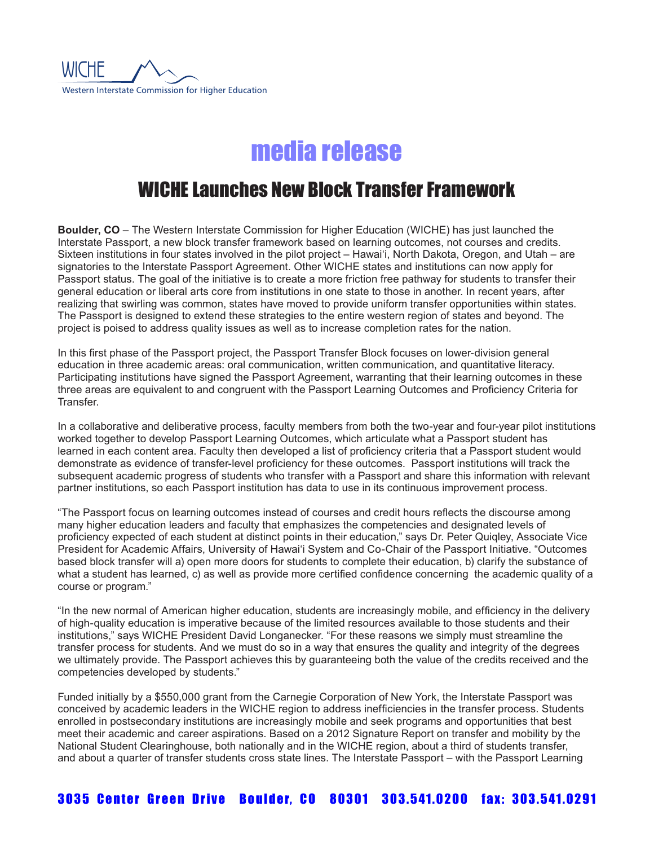

# media release

## WICHE Launches New Block Transfer Framework

**Boulder, CO** – The Western Interstate Commission for Higher Education (WICHE) has just launched the Interstate Passport, a new block transfer framework based on learning outcomes, not courses and credits. Sixteen institutions in four states involved in the pilot project – Hawai'i, North Dakota, Oregon, and Utah – are signatories to the Interstate Passport Agreement. Other WICHE states and institutions can now apply for Passport status. The goal of the initiative is to create a more friction free pathway for students to transfer their general education or liberal arts core from institutions in one state to those in another. In recent years, after realizing that swirling was common, states have moved to provide uniform transfer opportunities within states. The Passport is designed to extend these strategies to the entire western region of states and beyond. The project is poised to address quality issues as well as to increase completion rates for the nation.

In this first phase of the Passport project, the Passport Transfer Block focuses on lower-division general education in three academic areas: oral communication, written communication, and quantitative literacy. Participating institutions have signed the Passport Agreement, warranting that their learning outcomes in these three areas are equivalent to and congruent with the Passport Learning Outcomes and Proficiency Criteria for **Transfer** 

In a collaborative and deliberative process, faculty members from both the two-year and four-year pilot institutions worked together to develop Passport Learning Outcomes, which articulate what a Passport student has learned in each content area. Faculty then developed a list of proficiency criteria that a Passport student would demonstrate as evidence of transfer-level proficiency for these outcomes. Passport institutions will track the subsequent academic progress of students who transfer with a Passport and share this information with relevant partner institutions, so each Passport institution has data to use in its continuous improvement process.

"The Passport focus on learning outcomes instead of courses and credit hours reflects the discourse among many higher education leaders and faculty that emphasizes the competencies and designated levels of proficiency expected of each student at distinct points in their education," says Dr. Peter Quiqley, Associate Vice President for Academic Affairs, University of Hawai'i System and Co-Chair of the Passport Initiative. "Outcomes based block transfer will a) open more doors for students to complete their education, b) clarify the substance of what a student has learned, c) as well as provide more certified confidence concerning the academic quality of a course or program."

"In the new normal of American higher education, students are increasingly mobile, and efficiency in the delivery of high-quality education is imperative because of the limited resources available to those students and their institutions," says WICHE President David Longanecker. "For these reasons we simply must streamline the transfer process for students. And we must do so in a way that ensures the quality and integrity of the degrees we ultimately provide. The Passport achieves this by guaranteeing both the value of the credits received and the competencies developed by students."

Funded initially by a \$550,000 grant from the Carnegie Corporation of New York, the Interstate Passport was conceived by academic leaders in the WICHE region to address inefficiencies in the transfer process. Students enrolled in postsecondary institutions are increasingly mobile and seek programs and opportunities that best meet their academic and career aspirations. Based on a 2012 Signature Report on transfer and mobility by the National Student Clearinghouse, both nationally and in the WICHE region, about a third of students transfer, and about a quarter of transfer students cross state lines. The Interstate Passport – with the Passport Learning